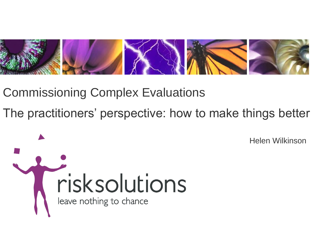

Commissioning Complex Evaluations

The practitioners' perspective: how to make things better

risksolutions leave nothing to chance

Helen Wilkinson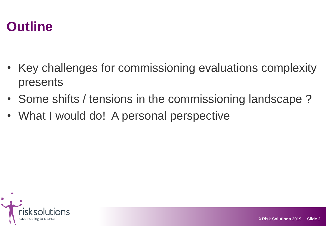#### **Outline**

- Key challenges for commissioning evaluations complexity presents
- Some shifts / tensions in the commissioning landscape?
- What I would do! A personal perspective

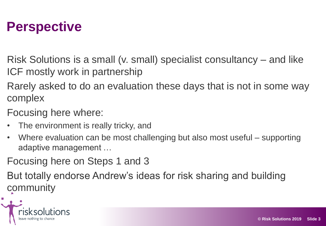#### **Perspective**

Risk Solutions is a small (v. small) specialist consultancy – and like ICF mostly work in partnership

Rarely asked to do an evaluation these days that is not in some way complex

Focusing here where:

- The environment is really tricky, and
- Where evaluation can be most challenging but also most useful supporting adaptive management …

Focusing here on Steps 1 and 3

But totally endorse Andrew's ideas for risk sharing and building community

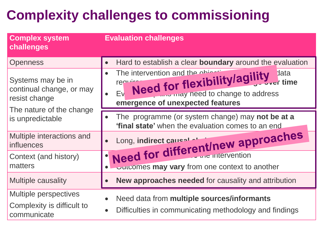# **Complexity challenges to commissioning**

| <b>Complex system</b><br>challenges                                                                            | <b>Evaluation challenges</b>                                                                                                                                            |
|----------------------------------------------------------------------------------------------------------------|-------------------------------------------------------------------------------------------------------------------------------------------------------------------------|
| <b>Openness</b>                                                                                                | Hard to establish a clear boundary around the evaluation                                                                                                                |
| Systems may be in<br>continual change, or may<br>resist change<br>The nature of the change<br>is unpredictable | The intervention and the object<br>Need for flexibility/agility data<br>require<br>Ev<br><b>Tarly may need to change to address</b><br>emergence of unexpected features |
|                                                                                                                | The programme (or system change) may not be at a<br>'final state' when the evaluation comes to an end                                                                   |
| Multiple interactions and<br><b>influences</b>                                                                 | Need for different/new approaches                                                                                                                                       |
| Context (and history)                                                                                          |                                                                                                                                                                         |
| matters                                                                                                        | ourcomes may vary from one context to another                                                                                                                           |
| <b>Multiple causality</b>                                                                                      | <b>New approaches needed for causality and attribution</b>                                                                                                              |
| <b>Multiple perspectives</b><br>Complexity is difficult to<br>communicate                                      | Need data from multiple sources/informants<br>Difficulties in communicating methodology and findings                                                                    |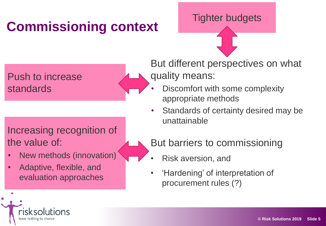# **Commissioning context**

Push to increase standards

#### Increasing recognition of the value of:

- New methods (innovation)
- Adaptive, flexible, and evaluation approaches

But different perspectives on what quality means:

Tighter budgets

- Discomfort with some complexity appropriate methods
- Standards of certainty desired may be unattainable

But barriers to commissioning

- Risk aversion, and
- 'Hardening' of interpretation of procurement rules (?)

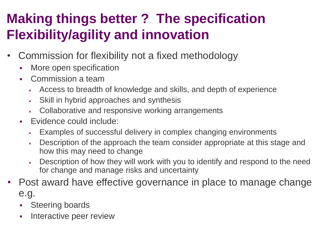## **Making things better ? The specification Flexibility/agility and innovation**

- Commission for flexibility not a fixed methodology
	- More open specification
	- Commission a team
		- Access to breadth of knowledge and skills, and depth of experience
		- $\sim$  Skill in hybrid approaches and synthesis
		- Collaborative and responsive working arrangements
	- Evidence could include:
		- Examples of successful delivery in complex changing environments
		- Description of the approach the team consider appropriate at this stage and how this may need to change
		- Description of how they will work with you to identify and respond to the need for change and manage risks and uncertainty
- Post award have effective governance in place to manage change e.g.
	- **Steering boards**
	- **Interactive peer review**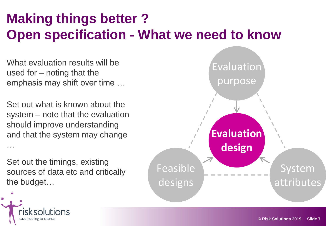## **Making things better ? Open specification - What we need to know**

What evaluation results will be used for – noting that the emphasis may shift over time …

Set out what is known about the system – note that the evaluation should improve understanding and that the system may change …

Set out the timings, existing sources of data etc and critically the budget…



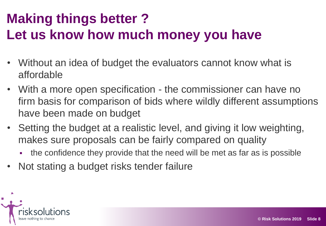## **Making things better ? Let us know how much money you have**

- Without an idea of budget the evaluators cannot know what is affordable
- With a more open specification the commissioner can have no firm basis for comparison of bids where wildly different assumptions have been made on budget
- Setting the budget at a realistic level, and giving it low weighting, makes sure proposals can be fairly compared on quality
	- the confidence they provide that the need will be met as far as is possible
- Not stating a budget risks tender failure

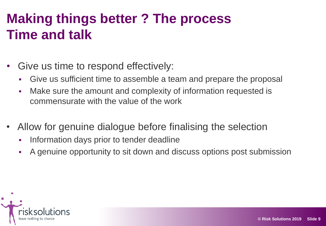## **Making things better ? The process Time and talk**

- Give us time to respond effectively:
	- Give us sufficient time to assemble a team and prepare the proposal
	- Make sure the amount and complexity of information requested is commensurate with the value of the work
- Allow for genuine dialogue before finalising the selection
	- **Information days prior to tender deadline**
	- A genuine opportunity to sit down and discuss options post submission

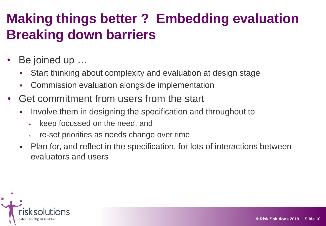## **Making things better ? Embedding evaluation Breaking down barriers**

- Be joined up ...
	- Start thinking about complexity and evaluation at design stage
	- Commission evaluation alongside implementation
- Get commitment from users from the start
	- Involve them in designing the specification and throughout to
		- $\overline{\phantom{a}}$  keep focussed on the need, and
		- re-set priorities as needs change over time
	- Plan for, and reflect in the specification, for lots of interactions between evaluators and users

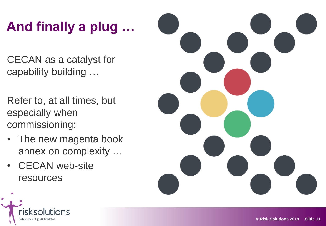# **And finally a plug …**

CECAN as a catalyst for capability building …

- Refer to, at all times, but especially when commissioning:
- The new magenta book annex on complexity …
- **CECAN** web-site resources